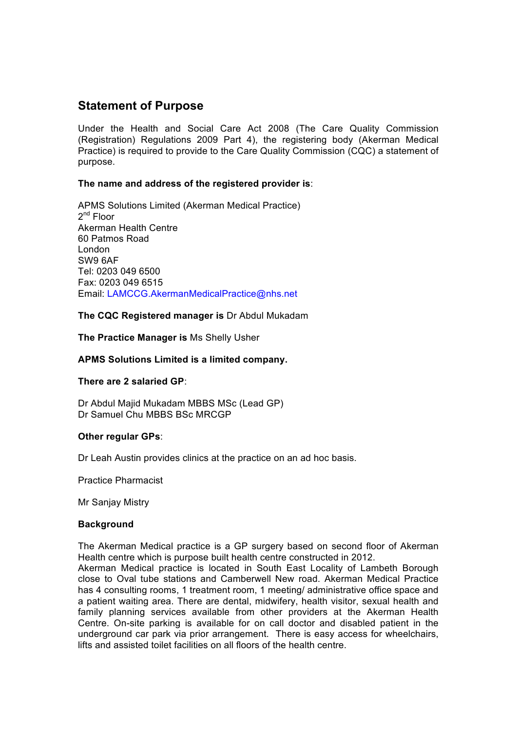# **Statement of Purpose**

Under the Health and Social Care Act 2008 (The Care Quality Commission (Registration) Regulations 2009 Part 4), the registering body (Akerman Medical Practice) is required to provide to the Care Quality Commission (CQC) a statement of purpose.

# **The name and address of the registered provider is**:

APMS Solutions Limited (Akerman Medical Practice)  $2^{nd}$  Floor Akerman Health Centre 60 Patmos Road London SW9 6AF Tel: 0203 049 6500 Fax: 0203 049 6515 Email: LAMCCG.AkermanMedicalPractice@nhs.net

## **The CQC Registered manager is** Dr Abdul Mukadam

**The Practice Manager is** Ms Shelly Usher

## **APMS Solutions Limited is a limited company.**

### **There are 2 salaried GP**:

Dr Abdul Majid Mukadam MBBS MSc (Lead GP) Dr Samuel Chu MBBS BSc MRCGP

### **Other regular GPs**:

Dr Leah Austin provides clinics at the practice on an ad hoc basis.

Practice Pharmacist

**Mr Sanjay Mistry** 

### **Background**

The Akerman Medical practice is a GP surgery based on second floor of Akerman Health centre which is purpose built health centre constructed in 2012.

Akerman Medical practice is located in South East Locality of Lambeth Borough close to Oval tube stations and Camberwell New road. Akerman Medical Practice has 4 consulting rooms, 1 treatment room, 1 meeting/ administrative office space and a patient waiting area. There are dental, midwifery, health visitor, sexual health and family planning services available from other providers at the Akerman Health Centre. On-site parking is available for on call doctor and disabled patient in the underground car park via prior arrangement. There is easy access for wheelchairs, lifts and assisted toilet facilities on all floors of the health centre.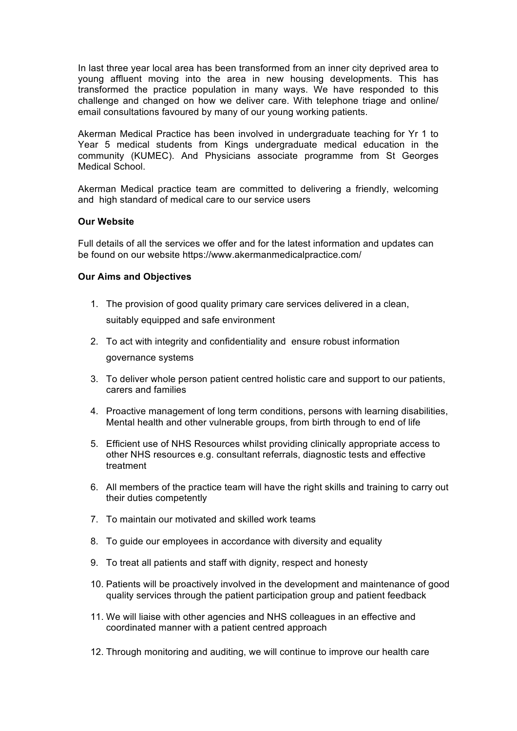In last three year local area has been transformed from an inner city deprived area to young affluent moving into the area in new housing developments. This has transformed the practice population in many ways. We have responded to this challenge and changed on how we deliver care. With telephone triage and online/ email consultations favoured by many of our young working patients.

Akerman Medical Practice has been involved in undergraduate teaching for Yr 1 to Year 5 medical students from Kings undergraduate medical education in the community (KUMEC). And Physicians associate programme from St Georges Medical School.

Akerman Medical practice team are committed to delivering a friendly, welcoming and high standard of medical care to our service users

### **Our Website**

Full details of all the services we offer and for the latest information and updates can be found on our website https://www.akermanmedicalpractice.com/

#### **Our Aims and Objectives**

- 1. The provision of good quality primary care services delivered in a clean, suitably equipped and safe environment
- 2. To act with integrity and confidentiality and ensure robust information governance systems
- 3. To deliver whole person patient centred holistic care and support to our patients, carers and families
- 4. Proactive management of long term conditions, persons with learning disabilities, Mental health and other vulnerable groups, from birth through to end of life
- 5. Efficient use of NHS Resources whilst providing clinically appropriate access to other NHS resources e.g. consultant referrals, diagnostic tests and effective treatment
- 6. All members of the practice team will have the right skills and training to carry out their duties competently
- 7. To maintain our motivated and skilled work teams
- 8. To quide our employees in accordance with diversity and equality
- 9. To treat all patients and staff with dignity, respect and honesty
- 10. Patients will be proactively involved in the development and maintenance of good quality services through the patient participation group and patient feedback
- 11. We will liaise with other agencies and NHS colleagues in an effective and coordinated manner with a patient centred approach
- 12. Through monitoring and auditing, we will continue to improve our health care